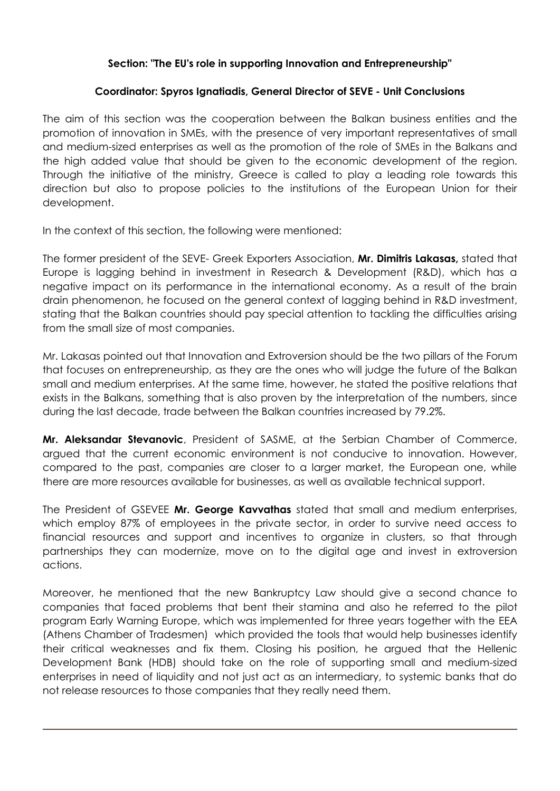## **Section: "The EU's role in supporting Innovation and Entrepreneurship"**

## **Coordinator: Spyros Ignatiadis, General Director of SEVE - Unit Conclusions**

The aim of this section was the cooperation between the Balkan business entities and the promotion of innovation in SMEs, with the presence of very important representatives of small and medium-sized enterprises as well as the promotion of the role of SMEs in the Balkans and the high added value that should be given to the economic development of the region. Through the initiative of the ministry, Greece is called to play a leading role towards this direction but also to propose policies to the institutions of the European Union for their development.

In the context of this section, the following were mentioned:

The former president of the SEVE- Greek Exporters Association, **Mr. Dimitris Lakasas,** stated that Europe is lagging behind in investment in Research & Development (R&D), which has a negative impact on its performance in the international economy. As a result of the brain drain phenomenon, he focused on the general context of lagging behind in R&D investment, stating that the Balkan countries should pay special attention to tackling the difficulties arising from the small size of most companies.

Mr. Lakasas pointed out that Innovation and Extroversion should be the two pillars of the Forum that focuses on entrepreneurship, as they are the ones who will judge the future of the Balkan small and medium enterprises. At the same time, however, he stated the positive relations that exists in the Balkans, something that is also proven by the interpretation of the numbers, since during the last decade, trade between the Balkan countries increased by 79.2%.

**Mr. Aleksandar Stevanovic**, President of SASME, at the Serbian Chamber of Commerce, argued that the current economic environment is not conducive to innovation. However, compared to the past, companies are closer to a larger market, the European one, while there are more resources available for businesses, as well as available technical support.

The President of GSEVEE **Mr. George Kavvathas** stated that small and medium enterprises, which employ 87% of employees in the private sector, in order to survive need access to financial resources and support and incentives to organize in clusters, so that through partnerships they can modernize, move on to the digital age and invest in extroversion actions.

Moreover, he mentioned that the new Bankruptcy Law should give a second chance to companies that faced problems that bent their stamina and also he referred to the pilot program Early Warning Europe, which was implemented for three years together with the ΕΕΑ (Athens Chamber of Tradesmen) which provided the tools that would help businesses identify their critical weaknesses and fix them. Closing his position, he argued that the Hellenic Development Bank (HDB) should take on the role of supporting small and medium-sized enterprises in need of liquidity and not just act as an intermediary, to systemic banks that do not release resources to those companies that they really need them.